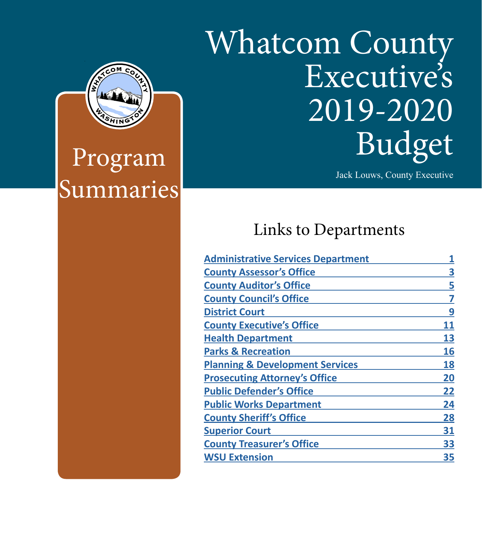# Whatcom County Executive's 2019-2020 Budget

Jack Louws, County Executive

## Links to Departments

|  | <b>Administrative Services Department</b>  |    |
|--|--------------------------------------------|----|
|  | <b>County Assessor's Office</b>            | 3  |
|  | <b>County Auditor's Office</b>             | 5  |
|  | <b>County Council's Office</b>             |    |
|  | <b>District Court</b>                      | 9  |
|  | <b>County Executive's Office</b>           | 11 |
|  | <b>Health Department</b>                   | 13 |
|  | <b>Parks &amp; Recreation</b>              | 16 |
|  | <b>Planning &amp; Development Services</b> | 18 |
|  | <b>Prosecuting Attorney's Office</b>       | 20 |
|  | <b>Public Defender's Office</b>            | 22 |
|  | <b>Public Works Department</b>             | 24 |
|  | <b>County Sheriff's Office</b>             | 28 |
|  | <b>Superior Court</b>                      | 31 |
|  | <b>County Treasurer's Office</b>           | 33 |
|  | <b>WSU Extension</b>                       | 35 |
|  |                                            |    |



Program Summaries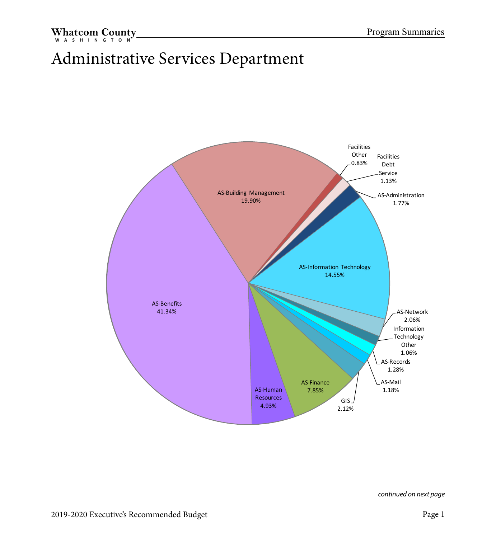## <span id="page-1-0"></span>Administrative Services Department

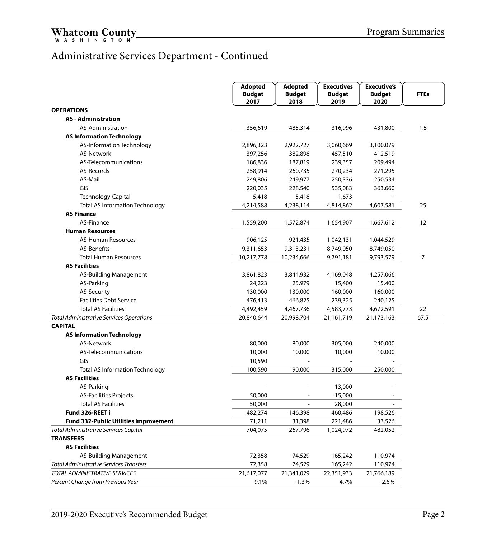#### Administrative Services Department - Continued

|                                                 | Adopted               | <b>Adopted</b>           | <b>Executives</b>     | <b>Executive's</b>       |                |
|-------------------------------------------------|-----------------------|--------------------------|-----------------------|--------------------------|----------------|
|                                                 | <b>Budget</b><br>2017 | <b>Budget</b><br>2018    | <b>Budget</b><br>2019 | <b>Budget</b><br>2020    | <b>FTEs</b>    |
| <b>OPERATIONS</b>                               |                       |                          |                       |                          |                |
| <b>AS</b> - Administration                      |                       |                          |                       |                          |                |
| AS-Administration                               | 356,619               | 485,314                  | 316,996               | 431,800                  | 1.5            |
| <b>AS Information Technology</b>                |                       |                          |                       |                          |                |
| AS-Information Technology                       | 2,896,323             | 2,922,727                | 3,060,669             | 3,100,079                |                |
| <b>AS-Network</b>                               | 397,256               | 382,898                  | 457,510               | 412,519                  |                |
| AS-Telecommunications                           | 186,836               | 187,819                  | 239,357               | 209,494                  |                |
| AS-Records                                      | 258,914               | 260,735                  | 270,234               | 271,295                  |                |
| AS-Mail                                         | 249,806               | 249,977                  | 250,336               | 250,534                  |                |
| GIS                                             | 220,035               | 228,540                  | 535,083               | 363,660                  |                |
| Technology-Capital                              | 5,418                 | 5,418                    | 1,673                 |                          |                |
| <b>Total AS Information Technology</b>          | 4,214,588             | 4,238,114                | 4,814,862             | 4,607,581                | 25             |
| <b>AS Finance</b>                               |                       |                          |                       |                          |                |
| AS-Finance                                      | 1,559,200             | 1,572,874                | 1,654,907             | 1,667,612                | 12             |
| <b>Human Resources</b>                          |                       |                          |                       |                          |                |
| <b>AS-Human Resources</b>                       | 906,125               | 921,435                  | 1,042,131             | 1,044,529                |                |
| AS-Benefits                                     | 9,311,653             | 9,313,231                | 8,749,050             | 8,749,050                |                |
| <b>Total Human Resources</b>                    | 10,217,778            | 10,234,666               | 9,791,181             | 9,793,579                | $\overline{7}$ |
| <b>AS Facilities</b>                            |                       |                          |                       |                          |                |
| AS-Building Management                          | 3,861,823             | 3,844,932                | 4,169,048             | 4,257,066                |                |
| AS-Parking                                      | 24,223                | 25,979                   | 15,400                | 15,400                   |                |
| AS-Security                                     | 130,000               | 130,000                  | 160,000               | 160,000                  |                |
| <b>Facilities Debt Service</b>                  | 476,413               | 466,825                  | 239,325               | 240,125                  |                |
| <b>Total AS Facilities</b>                      | 4,492,459             | 4,467,736                | 4,583,773             | 4,672,591                | 22             |
| <b>Total Administrative Services Operations</b> | 20,840,644            | 20,998,704               | 21,161,719            | 21,173,163               | 67.5           |
| <b>CAPITAL</b>                                  |                       |                          |                       |                          |                |
| <b>AS Information Technology</b>                |                       |                          |                       |                          |                |
| <b>AS-Network</b>                               | 80,000                | 80,000                   | 305,000               | 240,000                  |                |
| AS-Telecommunications                           | 10,000                | 10,000                   | 10,000                | 10,000                   |                |
| GIS                                             | 10,590                |                          |                       |                          |                |
| <b>Total AS Information Technology</b>          | 100,590               | 90,000                   | 315,000               | 250,000                  |                |
| <b>AS Facilities</b>                            |                       |                          |                       |                          |                |
| AS-Parking                                      |                       |                          | 13,000                |                          |                |
| <b>AS-Facilities Projects</b>                   | 50,000                |                          | 15,000                |                          |                |
| <b>Total AS Facilities</b>                      | 50,000                | $\overline{\phantom{a}}$ | 28,000                | $\overline{\phantom{a}}$ |                |
| Fund 326-REET i                                 | 482,274               | 146,398                  | 460,486               | 198,526                  |                |
| <b>Fund 332-Public Utilities Improvement</b>    | 71,211                | 31,398                   | 221,486               | 33,526                   |                |
| <b>Total Administrative Services Capital</b>    | 704,075               | 267,796                  | 1,024,972             | 482,052                  |                |
| <b>TRANSFERS</b>                                |                       |                          |                       |                          |                |
| <b>AS Facilities</b>                            |                       |                          |                       |                          |                |
| AS-Building Management                          | 72,358                | 74,529                   | 165,242               | 110,974                  |                |
| <b>Total Administrative Services Transfers</b>  | 72,358                | 74,529                   | 165,242               | 110,974                  |                |
| <b>TOTAL ADMINISTRATIVE SERVICES</b>            | 21,617,077            | 21,341,029               | 22,351,933            | 21,766,189               |                |
| Percent Change from Previous Year               | 9.1%                  | $-1.3%$                  | 4.7%                  | $-2.6%$                  |                |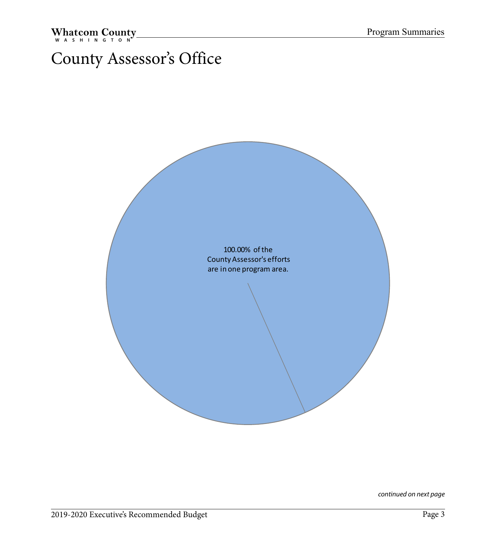## <span id="page-3-0"></span>County Assessor's Office

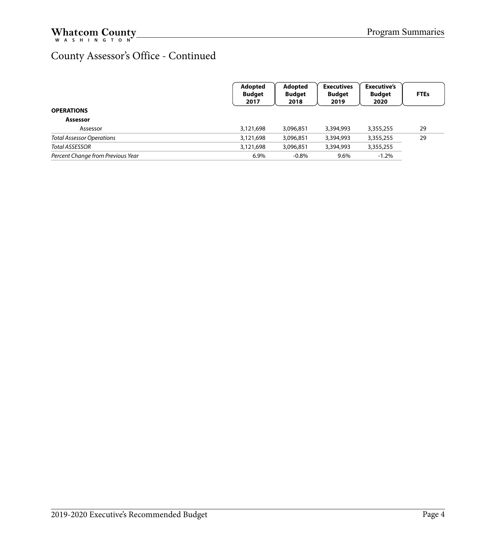#### County Assessor's Office - Continued

|                                   | Adopted<br><b>Budget</b><br>2017 | Adopted<br><b>Budget</b><br>2018 | <b>Executives</b><br><b>Budget</b><br>2019 | <b>Executive's</b><br><b>Budget</b><br>2020 | <b>FTEs</b> |
|-----------------------------------|----------------------------------|----------------------------------|--------------------------------------------|---------------------------------------------|-------------|
| <b>OPERATIONS</b>                 |                                  |                                  |                                            |                                             |             |
| Assessor                          |                                  |                                  |                                            |                                             |             |
| Assessor                          | 3,121,698                        | 3,096,851                        | 3,394,993                                  | 3,355,255                                   | 29          |
| <b>Total Assessor Operations</b>  | 3,121,698                        | 3,096,851                        | 3,394,993                                  | 3,355,255                                   | 29          |
| Total ASSESSOR                    | 3,121,698                        | 3,096,851                        | 3,394,993                                  | 3,355,255                                   |             |
| Percent Change from Previous Year | 6.9%                             | $-0.8%$                          | 9.6%                                       | $-1.2%$                                     |             |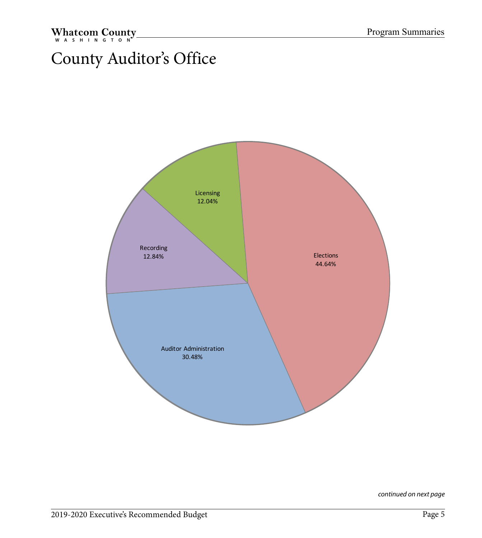## <span id="page-5-0"></span>County Auditor's Office

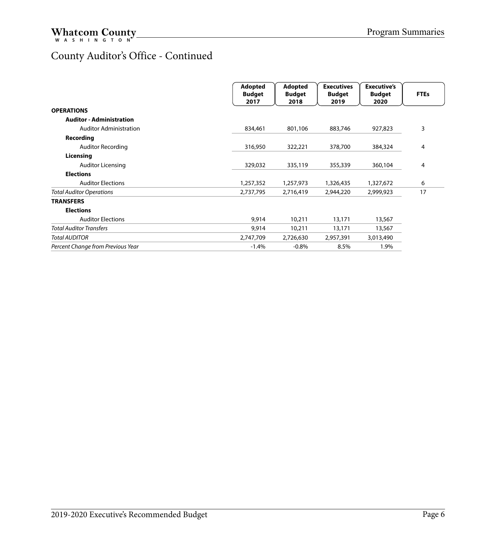#### County Auditor's Office - Continued

|                                   | <b>Adopted</b><br><b>Budget</b><br>2017 | <b>Adopted</b><br><b>Budget</b><br>2018 | <b>Executives</b><br><b>Budget</b><br>2019 | <b>Executive's</b><br><b>Budget</b><br>2020 | <b>FTEs</b> |
|-----------------------------------|-----------------------------------------|-----------------------------------------|--------------------------------------------|---------------------------------------------|-------------|
| <b>OPERATIONS</b>                 |                                         |                                         |                                            |                                             |             |
| <b>Auditor - Administration</b>   |                                         |                                         |                                            |                                             |             |
| <b>Auditor Administration</b>     | 834,461                                 | 801,106                                 | 883,746                                    | 927,823                                     | 3           |
| Recording                         |                                         |                                         |                                            |                                             |             |
| <b>Auditor Recording</b>          | 316,950                                 | 322,221                                 | 378,700                                    | 384,324                                     | 4           |
| Licensing                         |                                         |                                         |                                            |                                             |             |
| <b>Auditor Licensing</b>          | 329,032                                 | 335,119                                 | 355,339                                    | 360,104                                     | 4           |
| <b>Elections</b>                  |                                         |                                         |                                            |                                             |             |
| <b>Auditor Elections</b>          | 1,257,352                               | 1,257,973                               | 1,326,435                                  | 1,327,672                                   | 6           |
| <b>Total Auditor Operations</b>   | 2,737,795                               | 2,716,419                               | 2,944,220                                  | 2,999,923                                   | 17          |
| <b>TRANSFERS</b>                  |                                         |                                         |                                            |                                             |             |
| <b>Elections</b>                  |                                         |                                         |                                            |                                             |             |
| <b>Auditor Elections</b>          | 9,914                                   | 10,211                                  | 13,171                                     | 13,567                                      |             |
| <b>Total Auditor Transfers</b>    | 9,914                                   | 10,211                                  | 13,171                                     | 13,567                                      |             |
| <b>Total AUDITOR</b>              | 2,747,709                               | 2,726,630                               | 2,957,391                                  | 3,013,490                                   |             |
| Percent Change from Previous Year | $-1.4%$                                 | $-0.8%$                                 | 8.5%                                       | 1.9%                                        |             |
|                                   |                                         |                                         |                                            |                                             |             |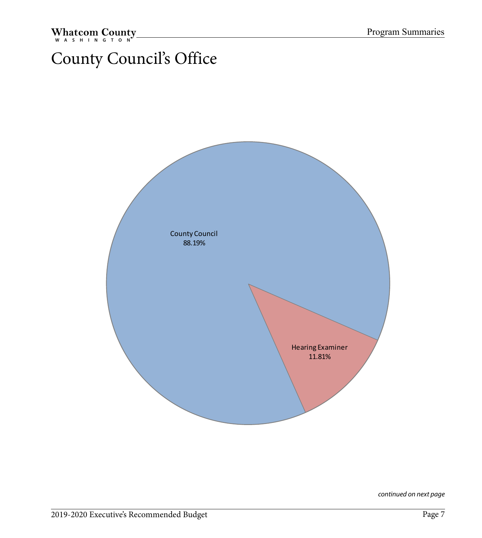## County Council's Office

<span id="page-7-0"></span>Whatcom County

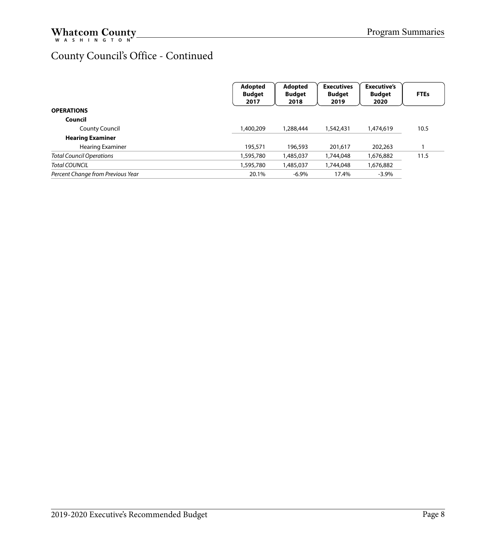#### County Council's Office - Continued

|                                   | Adopted<br><b>Budget</b><br>2017 | Adopted<br><b>Budget</b><br>2018 | <b>Executives</b><br><b>Budget</b><br>2019 | <b>Executive's</b><br><b>Budget</b><br>2020 | <b>FTEs</b> |
|-----------------------------------|----------------------------------|----------------------------------|--------------------------------------------|---------------------------------------------|-------------|
| <b>OPERATIONS</b>                 |                                  |                                  |                                            |                                             |             |
| Council                           |                                  |                                  |                                            |                                             |             |
| <b>County Council</b>             | 1,400,209                        | 1,288,444                        | 1,542,431                                  | 1,474,619                                   | 10.5        |
| <b>Hearing Examiner</b>           |                                  |                                  |                                            |                                             |             |
| <b>Hearing Examiner</b>           | 195,571                          | 196,593                          | 201,617                                    | 202,263                                     |             |
| <b>Total Council Operations</b>   | 1,595,780                        | 1,485,037                        | 1,744,048                                  | 1,676,882                                   | 11.5        |
| Total COUNCIL                     | 1,595,780                        | 1,485,037                        | 1,744,048                                  | 1,676,882                                   |             |
| Percent Change from Previous Year | 20.1%                            | $-6.9\%$                         | 17.4%                                      | $-3.9%$                                     |             |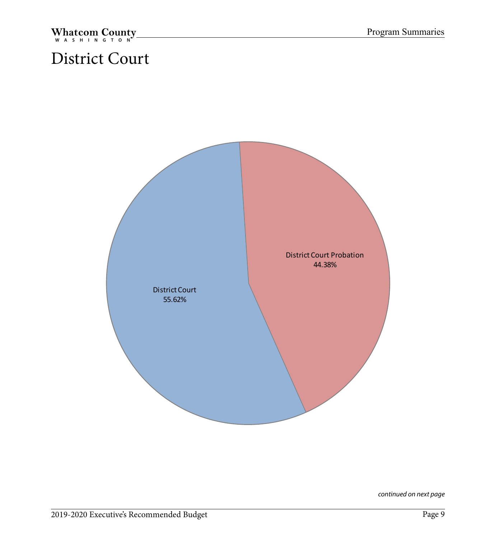## <span id="page-9-0"></span>District Court

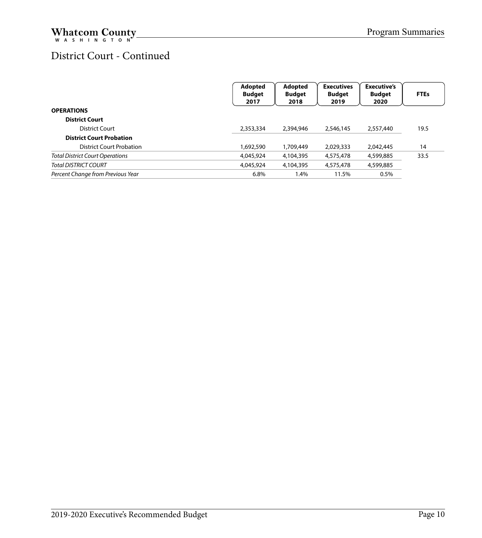#### District Court - Continued

|                                        | Adopted<br><b>Budget</b><br>2017 | Adopted<br><b>Budget</b><br>2018 | <b>Executives</b><br><b>Budget</b><br>2019 | <b>Executive's</b><br><b>Budget</b><br>2020 | <b>FTEs</b> |
|----------------------------------------|----------------------------------|----------------------------------|--------------------------------------------|---------------------------------------------|-------------|
| <b>OPERATIONS</b>                      |                                  |                                  |                                            |                                             |             |
| <b>District Court</b>                  |                                  |                                  |                                            |                                             |             |
| District Court                         | 2,353,334                        | 2,394,946                        | 2,546,145                                  | 2,557,440                                   | 19.5        |
| <b>District Court Probation</b>        |                                  |                                  |                                            |                                             |             |
| <b>District Court Probation</b>        | 1,692,590                        | 1,709,449                        | 2,029,333                                  | 2.042.445                                   | 14          |
| <b>Total District Court Operations</b> | 4,045,924                        | 4,104,395                        | 4,575,478                                  | 4,599,885                                   | 33.5        |
| <b>Total DISTRICT COURT</b>            | 4,045,924                        | 4,104,395                        | 4,575,478                                  | 4,599,885                                   |             |
| Percent Change from Previous Year      | 6.8%                             | .4%                              | 11.5%                                      | 0.5%                                        |             |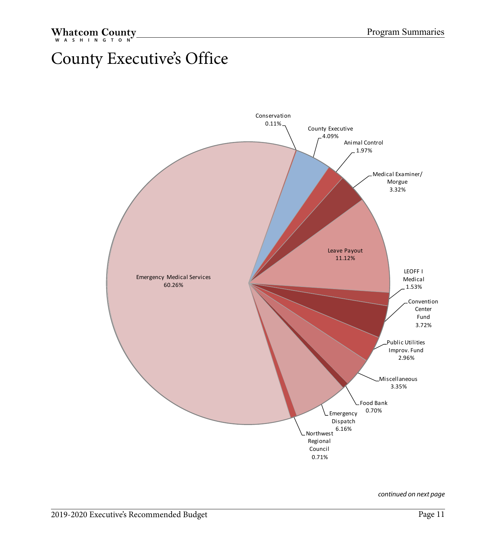## <span id="page-11-0"></span>County Executive's Office

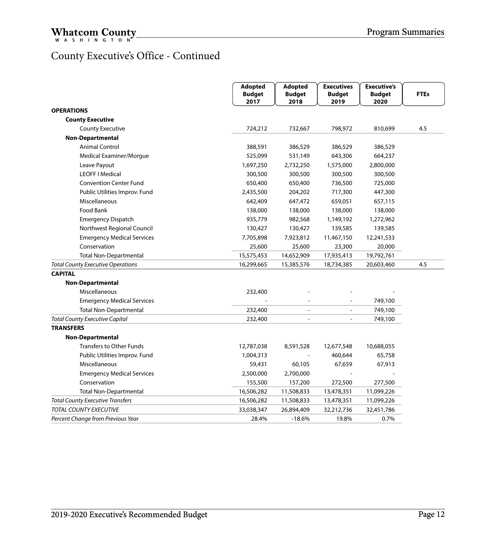#### County Executive's Office - Continued

|                                          | Adopted<br><b>Budget</b> | Adopted<br><b>Budget</b> | <b>Executives</b><br><b>Budget</b> | <b>Executive's</b><br><b>Budget</b> | <b>FTEs</b> |
|------------------------------------------|--------------------------|--------------------------|------------------------------------|-------------------------------------|-------------|
|                                          | 2017                     | 2018                     | 2019                               | 2020                                |             |
| <b>OPERATIONS</b>                        |                          |                          |                                    |                                     |             |
| <b>County Executive</b>                  |                          |                          |                                    |                                     |             |
| <b>County Executive</b>                  | 724,212                  | 732,667                  | 798,972                            | 810,699                             | 4.5         |
| <b>Non-Departmental</b>                  |                          |                          |                                    |                                     |             |
| <b>Animal Control</b>                    | 388,591                  | 386,529                  | 386,529                            | 386,529                             |             |
| Medical Examiner/Morgue                  | 525,099                  | 531,149                  | 643,306                            | 664,237                             |             |
| Leave Payout                             | 1,697,250                | 2,732,250                | 1,575,000                          | 2,800,000                           |             |
| <b>LEOFF I Medical</b>                   | 300,500                  | 300,500                  | 300,500                            | 300,500                             |             |
| <b>Convention Center Fund</b>            | 650,400                  | 650,400                  | 736,500                            | 725,000                             |             |
| Public Utilities Improv. Fund            | 2,435,500                | 204,202                  | 717,300                            | 447,300                             |             |
| Miscellaneous                            | 642,409                  | 647,472                  | 659,051                            | 657,115                             |             |
| Food Bank                                | 138,000                  | 138,000                  | 138,000                            | 138,000                             |             |
| <b>Emergency Dispatch</b>                | 935,779                  | 982,568                  | 1,149,192                          | 1,272,962                           |             |
| Northwest Regional Council               | 130,427                  | 130,427                  | 139,585                            | 139,585                             |             |
| <b>Emergency Medical Services</b>        | 7,705,898                | 7,923,812                | 11,467,150                         | 12,241,533                          |             |
| Conservation                             | 25,600                   | 25,600                   | 23,300                             | 20,000                              |             |
| <b>Total Non-Departmental</b>            | 15,575,453               | 14,652,909               | 17,935,413                         | 19,792,761                          |             |
| <b>Total County Executive Operations</b> | 16,299,665               | 15,385,576               | 18,734,385                         | 20,603,460                          | 4.5         |
| <b>CAPITAL</b>                           |                          |                          |                                    |                                     |             |
| <b>Non-Departmental</b>                  |                          |                          |                                    |                                     |             |
| Miscellaneous                            | 232,400                  |                          |                                    |                                     |             |
| <b>Emergency Medical Services</b>        |                          |                          | $\overline{\phantom{m}}$           | 749,100                             |             |
| <b>Total Non-Departmental</b>            | 232,400                  | $\sim$                   | $\overline{a}$                     | 749,100                             |             |
| <b>Total County Executive Capital</b>    | 232,400                  | $\overline{a}$           |                                    | 749,100                             |             |
| <b>TRANSFERS</b>                         |                          |                          |                                    |                                     |             |
| <b>Non-Departmental</b>                  |                          |                          |                                    |                                     |             |
| <b>Transfers to Other Funds</b>          | 12,787,038               | 8,591,528                | 12,677,548                         | 10,688,055                          |             |
| Public Utilities Improv. Fund            | 1,004,313                |                          | 460,644                            | 65,758                              |             |
| Miscellaneous                            | 59,431                   | 60,105                   | 67,659                             | 67,913                              |             |
| <b>Emergency Medical Services</b>        | 2,500,000                | 2,700,000                |                                    |                                     |             |
| Conservation                             | 155,500                  | 157,200                  | 272,500                            | 277,500                             |             |
| <b>Total Non-Departmental</b>            | 16,506,282               | 11,508,833               | 13,478,351                         | 11,099,226                          |             |
| <b>Total County Executive Transfers</b>  | 16,506,282               | 11,508,833               | 13,478,351                         | 11,099,226                          |             |
| TOTAL COUNTY EXECUTIVE                   | 33,038,347               | 26,894,409               | 32,212,736                         | 32,451,786                          |             |
| Percent Change from Previous Year        | 28.4%                    | $-18.6%$                 | 19.8%                              | 0.7%                                |             |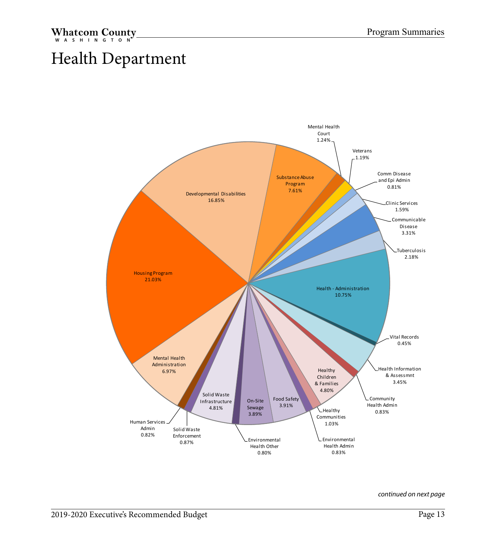## <span id="page-13-0"></span>Health Department

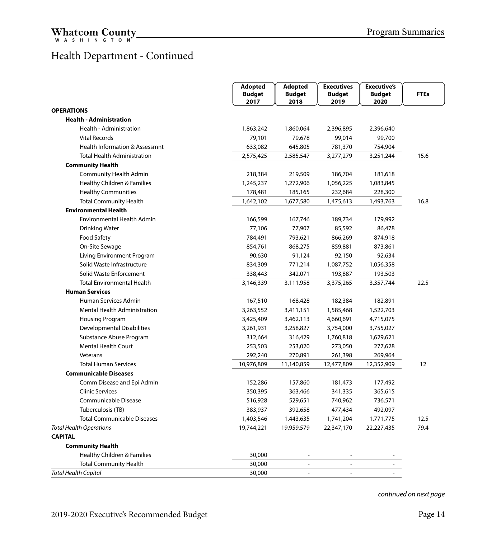#### Health Department - Continued

|                                    | Adopted               | Adopted                  | <b>Executives</b>        | <b>Executive's</b>    |             |
|------------------------------------|-----------------------|--------------------------|--------------------------|-----------------------|-------------|
|                                    | <b>Budget</b><br>2017 | <b>Budget</b><br>2018    | <b>Budget</b><br>2019    | <b>Budget</b><br>2020 | <b>FTEs</b> |
| <b>OPERATIONS</b>                  |                       |                          |                          |                       |             |
| <b>Health - Administration</b>     |                       |                          |                          |                       |             |
| Health - Administration            | 1,863,242             | 1,860,064                | 2,396,895                | 2,396,640             |             |
| <b>Vital Records</b>               | 79,101                | 79,678                   | 99,014                   | 99,700                |             |
| Health Information & Assessmnt     | 633,082               | 645,805                  | 781,370                  | 754,904               |             |
| <b>Total Health Administration</b> | 2,575,425             | 2,585,547                | 3,277,279                | 3,251,244             | 15.6        |
| <b>Community Health</b>            |                       |                          |                          |                       |             |
| Community Health Admin             | 218,384               | 219,509                  | 186,704                  | 181,618               |             |
| Healthy Children & Families        | 1,245,237             | 1,272,906                | 1,056,225                | 1,083,845             |             |
| <b>Healthy Communities</b>         | 178,481               | 185,165                  | 232,684                  | 228,300               |             |
| <b>Total Community Health</b>      | 1,642,102             | 1,677,580                | 1,475,613                | 1,493,763             | 16.8        |
| <b>Environmental Health</b>        |                       |                          |                          |                       |             |
| <b>Environmental Health Admin</b>  | 166,599               | 167,746                  | 189,734                  | 179,992               |             |
| <b>Drinking Water</b>              | 77,106                | 77,907                   | 85,592                   | 86,478                |             |
| Food Safety                        | 784,491               | 793,621                  | 866,269                  | 874,918               |             |
| On-Site Sewage                     | 854,761               | 868,275                  | 859,881                  | 873,861               |             |
| Living Environment Program         | 90,630                | 91,124                   | 92,150                   | 92,634                |             |
| Solid Waste Infrastructure         | 834,309               | 771,214                  | 1,087,752                | 1,056,358             |             |
| Solid Waste Enforcement            | 338,443               | 342,071                  | 193,887                  | 193,503               |             |
| <b>Total Environmental Health</b>  | 3,146,339             | 3,111,958                | 3,375,265                | 3,357,744             | 22.5        |
| <b>Human Services</b>              |                       |                          |                          |                       |             |
| Human Services Admin               | 167,510               | 168,428                  | 182,384                  | 182,891               |             |
| Mental Health Administration       | 3,263,552             | 3,411,151                | 1,585,468                | 1,522,703             |             |
| Housing Program                    | 3,425,409             | 3,462,113                | 4,660,691                | 4,715,075             |             |
| <b>Developmental Disabilities</b>  | 3,261,931             | 3,258,827                | 3,754,000                | 3,755,027             |             |
| Substance Abuse Program            | 312,664               | 316,429                  | 1,760,818                | 1,629,621             |             |
| <b>Mental Health Court</b>         | 253,503               | 253,020                  | 273,050                  | 277,628               |             |
| Veterans                           | 292,240               | 270,891                  | 261,398                  | 269,964               |             |
| <b>Total Human Services</b>        | 10,976,809            | 11,140,859               | 12,477,809               | 12,352,909            | 12          |
| <b>Communicable Diseases</b>       |                       |                          |                          |                       |             |
| Comm Disease and Epi Admin         | 152,286               | 157,860                  | 181,473                  | 177,492               |             |
| <b>Clinic Services</b>             | 350,395               | 363,466                  | 341,335                  | 365,615               |             |
| Communicable Disease               | 516,928               | 529,651                  | 740,962                  | 736,571               |             |
| Tuberculosis (TB)                  | 383,937               | 392,658                  | 477,434                  | 492,097               |             |
| <b>Total Communicable Diseases</b> | 1,403,546             | 1,443,635                | 1,741,204                | 1,771,775             | 12.5        |
| <b>Total Health Operations</b>     | 19,744,221            | 19,959,579               | 22,347,170               | 22,227,435            | 79.4        |
| <b>CAPITAL</b>                     |                       |                          |                          |                       |             |
| <b>Community Health</b>            |                       |                          |                          |                       |             |
| Healthy Children & Families        | 30,000                | $\sim$                   | $\overline{\phantom{a}}$ |                       |             |
| <b>Total Community Health</b>      | 30,000                | $\overline{\phantom{a}}$ | $\overline{\phantom{a}}$ |                       |             |
| <b>Total Health Capital</b>        | 30,000                | ÷                        | ÷.                       |                       |             |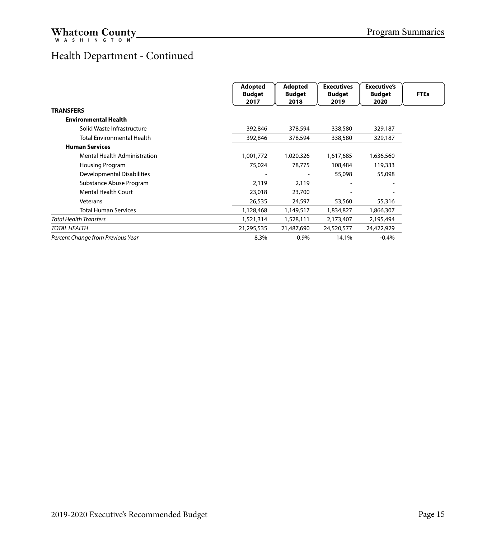#### Health Department - Continued

|                                     | Adopted<br><b>Budget</b><br>2017 | <b>Adopted</b><br><b>Budget</b><br>2018 | <b>Executives</b><br><b>Budget</b><br>2019 | <b>Executive's</b><br><b>Budget</b><br>2020 | <b>FTEs</b> |
|-------------------------------------|----------------------------------|-----------------------------------------|--------------------------------------------|---------------------------------------------|-------------|
| <b>TRANSFERS</b>                    |                                  |                                         |                                            |                                             |             |
| <b>Environmental Health</b>         |                                  |                                         |                                            |                                             |             |
| Solid Waste Infrastructure          | 392,846                          | 378,594                                 | 338,580                                    | 329,187                                     |             |
| <b>Total Environmental Health</b>   | 392,846                          | 378,594                                 | 338,580                                    | 329,187                                     |             |
| <b>Human Services</b>               |                                  |                                         |                                            |                                             |             |
| <b>Mental Health Administration</b> | 1,001,772                        | 1,020,326                               | 1,617,685                                  | 1,636,560                                   |             |
| Housing Program                     | 75,024                           | 78,775                                  | 108,484                                    | 119,333                                     |             |
| Developmental Disabilities          |                                  |                                         | 55,098                                     | 55,098                                      |             |
| Substance Abuse Program             | 2,119                            | 2,119                                   |                                            |                                             |             |
| <b>Mental Health Court</b>          | 23,018                           | 23,700                                  |                                            |                                             |             |
| Veterans                            | 26,535                           | 24,597                                  | 53,560                                     | 55,316                                      |             |
| <b>Total Human Services</b>         | 1,128,468                        | 1,149,517                               | 1,834,827                                  | 1,866,307                                   |             |
| <b>Total Health Transfers</b>       | 1,521,314                        | 1,528,111                               | 2,173,407                                  | 2,195,494                                   |             |
| <b>TOTAL HEALTH</b>                 | 21,295,535                       | 21,487,690                              | 24,520,577                                 | 24,422,929                                  |             |
| Percent Change from Previous Year   | 8.3%                             | $0.9\%$                                 | 14.1%                                      | $-0.4%$                                     |             |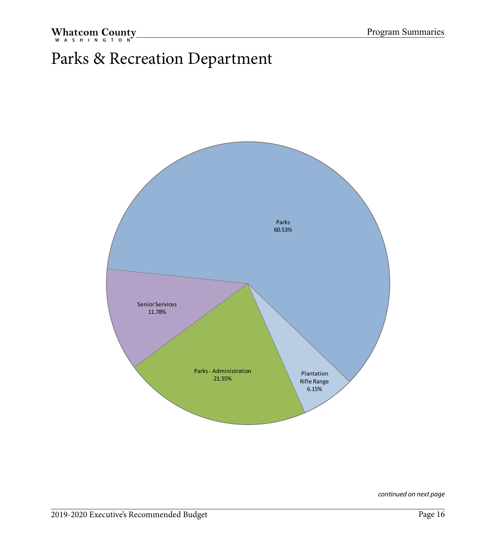## <span id="page-16-0"></span>Parks & Recreation Department

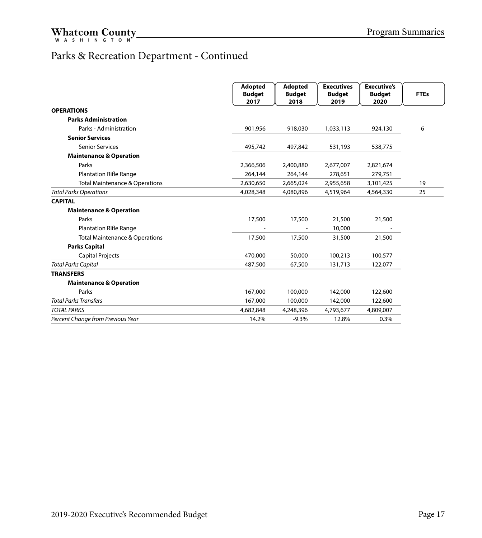#### Parks & Recreation Department - Continued

|                                           | Adopted<br><b>Budget</b><br>2017 | <b>Adopted</b><br><b>Budget</b><br>2018 | <b>Executives</b><br><b>Budget</b><br>2019 | <b>Executive's</b><br><b>Budget</b><br>2020 | <b>FTEs</b> |
|-------------------------------------------|----------------------------------|-----------------------------------------|--------------------------------------------|---------------------------------------------|-------------|
| <b>OPERATIONS</b>                         |                                  |                                         |                                            |                                             |             |
| <b>Parks Administration</b>               |                                  |                                         |                                            |                                             |             |
| Parks - Administration                    | 901,956                          | 918,030                                 | 1,033,113                                  | 924,130                                     | 6           |
| <b>Senior Services</b>                    |                                  |                                         |                                            |                                             |             |
| <b>Senior Services</b>                    | 495,742                          | 497,842                                 | 531,193                                    | 538,775                                     |             |
| <b>Maintenance &amp; Operation</b>        |                                  |                                         |                                            |                                             |             |
| Parks                                     | 2,366,506                        | 2,400,880                               | 2,677,007                                  | 2,821,674                                   |             |
| <b>Plantation Rifle Range</b>             | 264,144                          | 264,144                                 | 278,651                                    | 279,751                                     |             |
| <b>Total Maintenance &amp; Operations</b> | 2,630,650                        | 2,665,024                               | 2,955,658                                  | 3,101,425                                   | 19          |
| <b>Total Parks Operations</b>             | 4,028,348                        | 4,080,896                               | 4,519,964                                  | 4,564,330                                   | 25          |
| <b>CAPITAL</b>                            |                                  |                                         |                                            |                                             |             |
| <b>Maintenance &amp; Operation</b>        |                                  |                                         |                                            |                                             |             |
| Parks                                     | 17,500                           | 17,500                                  | 21,500                                     | 21,500                                      |             |
| <b>Plantation Rifle Range</b>             |                                  |                                         | 10,000                                     |                                             |             |
| <b>Total Maintenance &amp; Operations</b> | 17,500                           | 17,500                                  | 31,500                                     | 21,500                                      |             |
| <b>Parks Capital</b>                      |                                  |                                         |                                            |                                             |             |
| <b>Capital Projects</b>                   | 470,000                          | 50,000                                  | 100,213                                    | 100,577                                     |             |
| <b>Total Parks Capital</b>                | 487,500                          | 67,500                                  | 131,713                                    | 122,077                                     |             |
| <b>TRANSFERS</b>                          |                                  |                                         |                                            |                                             |             |
| <b>Maintenance &amp; Operation</b>        |                                  |                                         |                                            |                                             |             |
| Parks                                     | 167,000                          | 100,000                                 | 142,000                                    | 122,600                                     |             |
| <b>Total Parks Transfers</b>              | 167,000                          | 100,000                                 | 142,000                                    | 122,600                                     |             |
| <b>TOTAL PARKS</b>                        | 4,682,848                        | 4,248,396                               | 4,793,677                                  | 4,809,007                                   |             |
| Percent Change from Previous Year         | 14.2%                            | $-9.3%$                                 | 12.8%                                      | 0.3%                                        |             |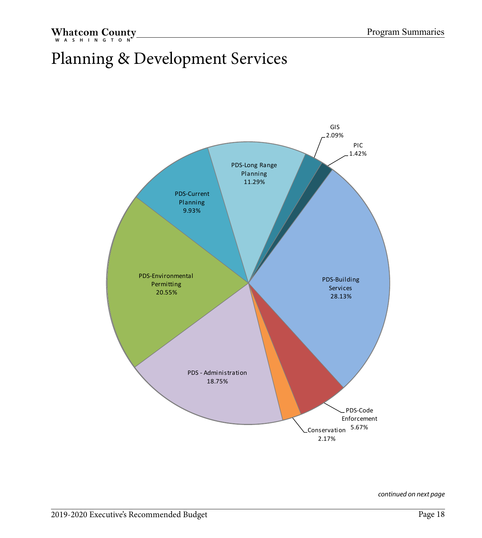## <span id="page-18-0"></span>Planning & Development Services

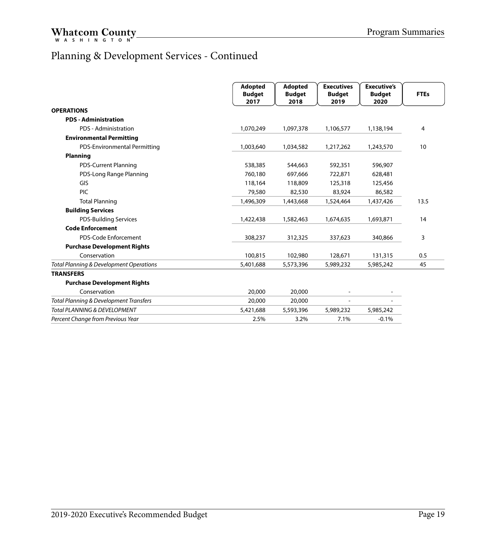#### Planning & Development Services - Continued

|                                         | <b>Adopted</b><br><b>Budget</b><br>2017 | Adopted<br><b>Budget</b><br>2018 | <b>Executives</b><br><b>Budget</b><br>2019 | <b>Executive's</b><br><b>Budget</b><br>2020 | <b>FTEs</b> |
|-----------------------------------------|-----------------------------------------|----------------------------------|--------------------------------------------|---------------------------------------------|-------------|
| <b>OPERATIONS</b>                       |                                         |                                  |                                            |                                             |             |
| <b>PDS - Administration</b>             |                                         |                                  |                                            |                                             |             |
| PDS - Administration                    | 1,070,249                               | 1,097,378                        | 1,106,577                                  | 1,138,194                                   | 4           |
| <b>Environmental Permitting</b>         |                                         |                                  |                                            |                                             |             |
| PDS-Environmental Permitting            | 1,003,640                               | 1,034,582                        | 1,217,262                                  | 1,243,570                                   | 10          |
| <b>Planning</b>                         |                                         |                                  |                                            |                                             |             |
| <b>PDS-Current Planning</b>             | 538,385                                 | 544,663                          | 592,351                                    | 596.907                                     |             |
| PDS-Long Range Planning                 | 760,180                                 | 697,666                          | 722,871                                    | 628,481                                     |             |
| GIS                                     | 118,164                                 | 118,809                          | 125,318                                    | 125,456                                     |             |
| PIC                                     | 79,580                                  | 82,530                           | 83,924                                     | 86,582                                      |             |
| <b>Total Planning</b>                   | 1,496,309                               | 1,443,668                        | 1,524,464                                  | 1,437,426                                   | 13.5        |
| <b>Building Services</b>                |                                         |                                  |                                            |                                             |             |
| <b>PDS-Building Services</b>            | 1,422,438                               | 1,582,463                        | 1,674,635                                  | 1,693,871                                   | 14          |
| <b>Code Enforcement</b>                 |                                         |                                  |                                            |                                             |             |
| PDS-Code Enforcement                    | 308,237                                 | 312,325                          | 337,623                                    | 340,866                                     | 3           |
| <b>Purchase Development Rights</b>      |                                         |                                  |                                            |                                             |             |
| Conservation                            | 100,815                                 | 102,980                          | 128,671                                    | 131,315                                     | 0.5         |
| Total Planning & Development Operations | 5,401,688                               | 5,573,396                        | 5,989,232                                  | 5,985,242                                   | 45          |
| <b>TRANSFERS</b>                        |                                         |                                  |                                            |                                             |             |
| <b>Purchase Development Rights</b>      |                                         |                                  |                                            |                                             |             |
| Conservation                            | 20,000                                  | 20,000                           |                                            |                                             |             |
| Total Planning & Development Transfers  | 20,000                                  | 20,000                           |                                            |                                             |             |
| Total PLANNING & DEVELOPMENT            | 5,421,688                               | 5,593,396                        | 5,989,232                                  | 5,985,242                                   |             |
| Percent Change from Previous Year       | 2.5%                                    | 3.2%                             | 7.1%                                       | $-0.1%$                                     |             |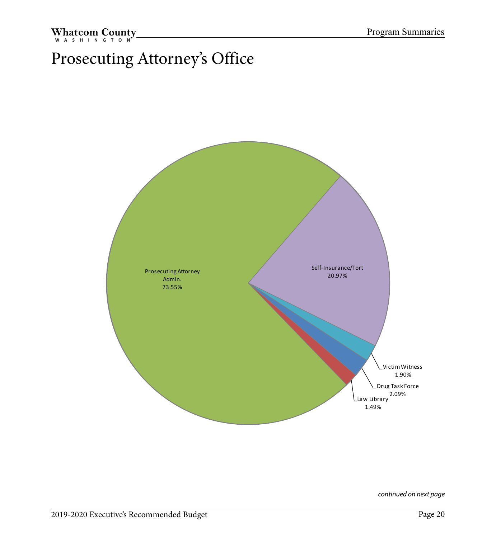## <span id="page-20-0"></span>Prosecuting Attorney's Office

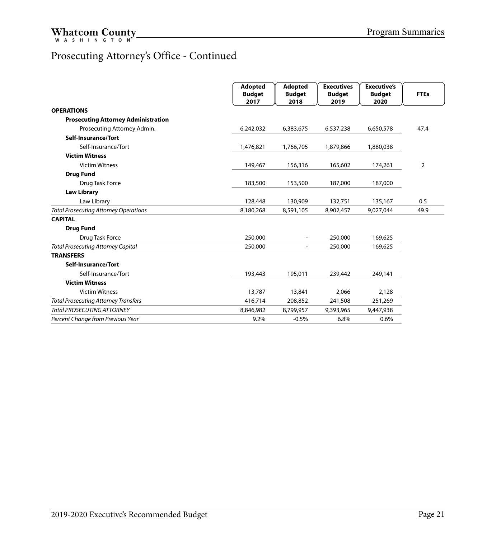#### Prosecuting Attorney's Office - Continued

|                                              | <b>Adopted</b>        | <b>Adopted</b>        | <b>Executives</b>     | <b>Executive's</b>    |             |
|----------------------------------------------|-----------------------|-----------------------|-----------------------|-----------------------|-------------|
|                                              | <b>Budget</b><br>2017 | <b>Budget</b><br>2018 | <b>Budget</b><br>2019 | <b>Budget</b><br>2020 | <b>FTEs</b> |
| <b>OPERATIONS</b>                            |                       |                       |                       |                       |             |
| <b>Prosecuting Attorney Administration</b>   |                       |                       |                       |                       |             |
| Prosecuting Attorney Admin.                  | 6,242,032             | 6,383,675             | 6,537,238             | 6,650,578             | 47.4        |
| Self-Insurance/Tort                          |                       |                       |                       |                       |             |
| Self-Insurance/Tort                          | 1,476,821             | 1,766,705             | 1,879,866             | 1,880,038             |             |
| <b>Victim Witness</b>                        |                       |                       |                       |                       |             |
| <b>Victim Witness</b>                        | 149,467               | 156,316               | 165,602               | 174,261               | 2           |
| <b>Drug Fund</b>                             |                       |                       |                       |                       |             |
| Drug Task Force                              | 183,500               | 153,500               | 187,000               | 187,000               |             |
| <b>Law Library</b>                           |                       |                       |                       |                       |             |
| Law Library                                  | 128,448               | 130,909               | 132,751               | 135,167               | 0.5         |
| <b>Total Prosecuting Attorney Operations</b> | 8,180,268             | 8,591,105             | 8,902,457             | 9,027,044             | 49.9        |
| <b>CAPITAL</b>                               |                       |                       |                       |                       |             |
| <b>Drug Fund</b>                             |                       |                       |                       |                       |             |
| Drug Task Force                              | 250,000               |                       | 250,000               | 169,625               |             |
| <b>Total Prosecuting Attorney Capital</b>    | 250,000               |                       | 250,000               | 169,625               |             |
| <b>TRANSFERS</b>                             |                       |                       |                       |                       |             |
| Self-Insurance/Tort                          |                       |                       |                       |                       |             |
| Self-Insurance/Tort                          | 193,443               | 195,011               | 239,442               | 249,141               |             |
| <b>Victim Witness</b>                        |                       |                       |                       |                       |             |
| <b>Victim Witness</b>                        | 13,787                | 13,841                | 2,066                 | 2,128                 |             |
| <b>Total Prosecuting Attorney Transfers</b>  | 416,714               | 208,852               | 241,508               | 251,269               |             |
| <b>Total PROSECUTING ATTORNEY</b>            | 8,846,982             | 8,799,957             | 9,393,965             | 9,447,938             |             |
| Percent Change from Previous Year            | 9.2%                  | $-0.5%$               | 6.8%                  | 0.6%                  |             |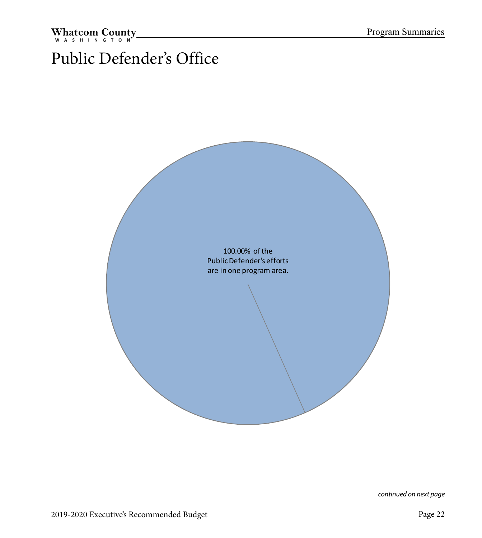## <span id="page-22-0"></span>Public Defender's Office

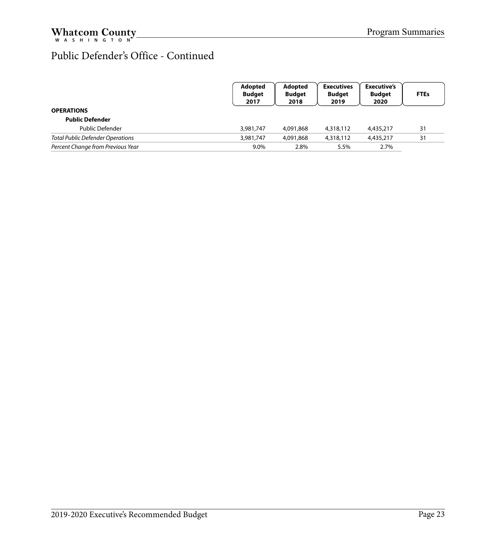#### Public Defender's Office - Continued

|                                         | Adopted<br><b>Budget</b><br>2017 | Adopted<br><b>Budget</b><br>2018 | <b>Executives</b><br><b>Budget</b><br>2019 | <b>Executive's</b><br><b>Budget</b><br>2020 | <b>FTEs</b> |
|-----------------------------------------|----------------------------------|----------------------------------|--------------------------------------------|---------------------------------------------|-------------|
| <b>OPERATIONS</b>                       |                                  |                                  |                                            |                                             |             |
| <b>Public Defender</b>                  |                                  |                                  |                                            |                                             |             |
| Public Defender                         | 3,981,747                        | 4,091,868                        | 4,318,112                                  | 4,435,217                                   | 31          |
| <b>Total Public Defender Operations</b> | 3,981,747                        | 4,091,868                        | 4,318,112                                  | 4,435,217                                   | 31          |
| Percent Change from Previous Year       | 9.0%                             | 2.8%                             | 5.5%                                       | 2.7%                                        |             |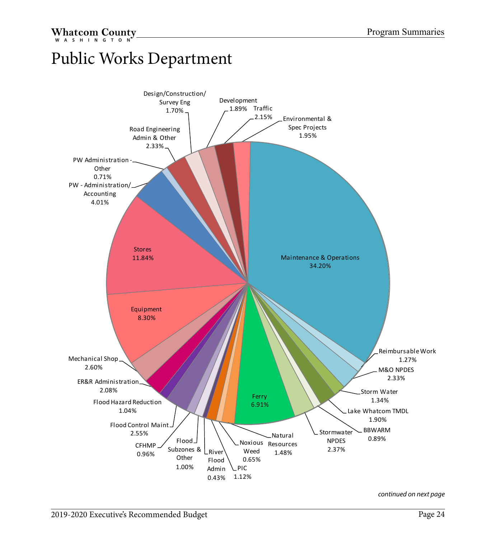## <span id="page-24-0"></span>Public Works Department

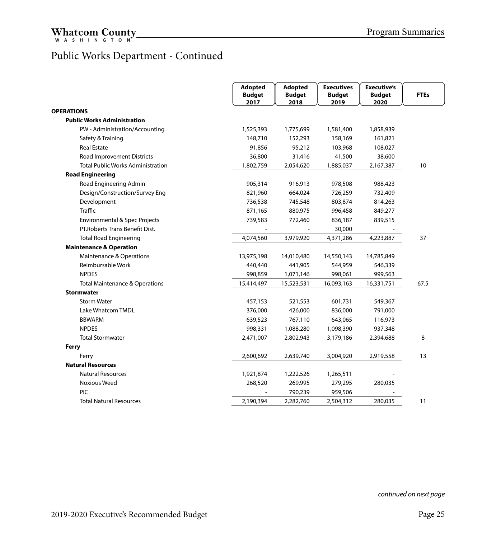#### Public Works Department - Continued

|                                           | <b>Adopted</b><br><b>Budget</b><br>2017 | <b>Adopted</b><br><b>Budget</b><br>2018 | <b>Executives</b><br><b>Budget</b><br>2019 | <b>Executive's</b><br><b>Budget</b><br>2020 | <b>FTEs</b> |
|-------------------------------------------|-----------------------------------------|-----------------------------------------|--------------------------------------------|---------------------------------------------|-------------|
| <b>OPERATIONS</b>                         |                                         |                                         |                                            |                                             |             |
| <b>Public Works Administration</b>        |                                         |                                         |                                            |                                             |             |
| PW - Administration/Accounting            | 1,525,393                               | 1,775,699                               | 1,581,400                                  | 1,858,939                                   |             |
| Safety & Training                         | 148,710                                 | 152,293                                 | 158,169                                    | 161,821                                     |             |
| <b>Real Estate</b>                        | 91,856                                  | 95,212                                  | 103,968                                    | 108,027                                     |             |
| Road Improvement Districts                | 36,800                                  | 31,416                                  | 41,500                                     | 38,600                                      |             |
| <b>Total Public Works Administration</b>  | 1,802,759                               | 2,054,620                               | 1,885,037                                  | 2,167,387                                   | 10          |
| <b>Road Engineering</b>                   |                                         |                                         |                                            |                                             |             |
| Road Engineering Admin                    | 905,314                                 | 916,913                                 | 978,508                                    | 988,423                                     |             |
| Design/Construction/Survey Eng            | 821,960                                 | 664,024                                 | 726,259                                    | 732,409                                     |             |
| Development                               | 736,538                                 | 745,548                                 | 803,874                                    | 814,263                                     |             |
| <b>Traffic</b>                            | 871,165                                 | 880,975                                 | 996,458                                    | 849,277                                     |             |
| Environmental & Spec Projects             | 739,583                                 | 772,460                                 | 836,187                                    | 839,515                                     |             |
| PT. Roberts Trans Benefit Dist.           |                                         |                                         | 30,000                                     |                                             |             |
| <b>Total Road Engineering</b>             | 4,074,560                               | 3,979,920                               | 4,371,286                                  | 4,223,887                                   | 37          |
| <b>Maintenance &amp; Operation</b>        |                                         |                                         |                                            |                                             |             |
| Maintenance & Operations                  | 13,975,198                              | 14,010,480                              | 14,550,143                                 | 14,785,849                                  |             |
| Reimbursable Work                         | 440,440                                 | 441,905                                 | 544,959                                    | 546,339                                     |             |
| <b>NPDES</b>                              | 998,859                                 | 1,071,146                               | 998,061                                    | 999,563                                     |             |
| <b>Total Maintenance &amp; Operations</b> | 15,414,497                              | 15,523,531                              | 16,093,163                                 | 16,331,751                                  | 67.5        |
| <b>Stormwater</b>                         |                                         |                                         |                                            |                                             |             |
| <b>Storm Water</b>                        | 457,153                                 | 521,553                                 | 601,731                                    | 549,367                                     |             |
| Lake Whatcom TMDL                         | 376,000                                 | 426,000                                 | 836,000                                    | 791,000                                     |             |
| <b>BBWARM</b>                             | 639,523                                 | 767,110                                 | 643,065                                    | 116,973                                     |             |
| <b>NPDES</b>                              | 998,331                                 | 1,088,280                               | 1,098,390                                  | 937,348                                     |             |
| <b>Total Stormwater</b>                   | 2,471,007                               | 2,802,943                               | 3,179,186                                  | 2,394,688                                   | 8           |
| Ferry                                     |                                         |                                         |                                            |                                             |             |
| Ferry                                     | 2,600,692                               | 2,639,740                               | 3,004,920                                  | 2,919,558                                   | 13          |
| <b>Natural Resources</b>                  |                                         |                                         |                                            |                                             |             |
| <b>Natural Resources</b>                  | 1,921,874                               | 1,222,526                               | 1,265,511                                  |                                             |             |
| Noxious Weed                              | 268,520                                 | 269,995                                 | 279,295                                    | 280,035                                     |             |
| PIC                                       |                                         | 790,239                                 | 959,506                                    |                                             |             |
| <b>Total Natural Resources</b>            | 2,190,394                               | 2,282,760                               | 2,504,312                                  | 280,035                                     | 11          |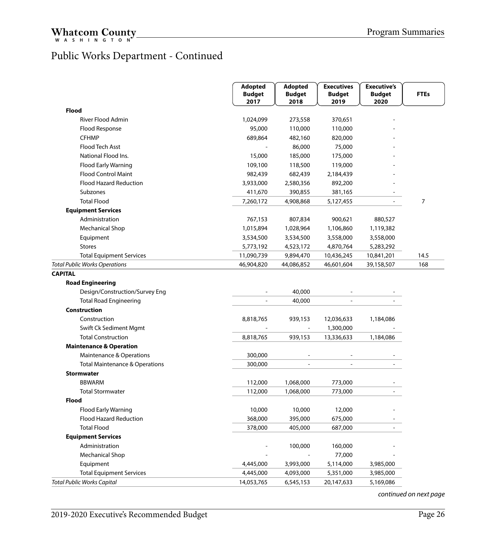#### Public Works Department - Continued

|                                                           | Adopted<br><b>Adopted</b><br><b>Executives</b> | <b>Executive's</b>    |                          |                       |             |
|-----------------------------------------------------------|------------------------------------------------|-----------------------|--------------------------|-----------------------|-------------|
|                                                           | <b>Budget</b><br>2017                          | <b>Budget</b><br>2018 | <b>Budget</b><br>2019    | <b>Budget</b><br>2020 | <b>FTEs</b> |
| <b>Flood</b>                                              |                                                |                       |                          |                       |             |
| <b>River Flood Admin</b>                                  | 1,024,099                                      | 273,558               | 370,651                  |                       |             |
| Flood Response                                            | 95,000                                         | 110,000               | 110,000                  |                       |             |
| <b>CFHMP</b>                                              | 689,864                                        | 482,160               | 820,000                  |                       |             |
| Flood Tech Asst                                           |                                                | 86,000                | 75,000                   |                       |             |
| National Flood Ins.                                       | 15,000                                         | 185,000               | 175,000                  |                       |             |
| <b>Flood Early Warning</b>                                | 109,100                                        | 118,500               | 119,000                  |                       |             |
| <b>Flood Control Maint</b>                                | 982,439                                        | 682,439               | 2,184,439                |                       |             |
| <b>Flood Hazard Reduction</b>                             | 3,933,000                                      | 2,580,356             | 892,200                  |                       |             |
| Subzones                                                  | 411,670                                        | 390,855               | 381,165                  |                       |             |
| <b>Total Flood</b>                                        | 7,260,172                                      | 4,908,868             | 5,127,455                |                       | 7           |
| <b>Equipment Services</b>                                 |                                                |                       |                          |                       |             |
| Administration                                            | 767,153                                        | 807,834               | 900,621                  | 880,527               |             |
| <b>Mechanical Shop</b>                                    | 1,015,894                                      | 1,028,964             | 1,106,860                | 1,119,382             |             |
| Equipment                                                 | 3,534,500                                      | 3,534,500             | 3,558,000                | 3,558,000             |             |
| <b>Stores</b>                                             | 5,773,192                                      | 4,523,172             | 4,870,764                | 5,283,292             |             |
| <b>Total Equipment Services</b>                           | 11,090,739                                     | 9,894,470             | 10,436,245               | 10,841,201            | 14.5        |
| <b>Total Public Works Operations</b>                      | 46,904,820                                     | 44,086,852            | 46,601,604               | 39,158,507            | 168         |
| <b>Road Engineering</b><br>Design/Construction/Survey Eng |                                                | 40,000                |                          |                       |             |
| <b>Total Road Engineering</b>                             | $\overline{\phantom{a}}$                       | 40,000                | $\overline{\phantom{a}}$ |                       |             |
| <b>Construction</b>                                       |                                                |                       |                          |                       |             |
| Construction                                              | 8,818,765                                      | 939,153               | 12,036,633               | 1,184,086             |             |
| Swift Ck Sediment Mgmt                                    |                                                | $\blacksquare$        | 1,300,000                |                       |             |
| <b>Total Construction</b>                                 | 8,818,765                                      | 939,153               | 13,336,633               | 1,184,086             |             |
| <b>Maintenance &amp; Operation</b>                        |                                                |                       |                          |                       |             |
| Maintenance & Operations                                  | 300,000                                        | $\overline{a}$        | ٠                        |                       |             |
| <b>Total Maintenance &amp; Operations</b>                 | 300,000                                        | L.                    |                          |                       |             |
| <b>Stormwater</b>                                         |                                                |                       |                          |                       |             |
| <b>BBWARM</b>                                             | 112,000                                        | 1,068,000             | 773,000                  |                       |             |
| <b>Total Stormwater</b>                                   | 112,000                                        | 1,068,000             | 773,000                  |                       |             |
| <b>Flood</b>                                              |                                                |                       |                          |                       |             |
| <b>Flood Early Warning</b>                                | 10,000                                         | 10,000                | 12,000                   |                       |             |
| <b>Flood Hazard Reduction</b>                             | 368,000                                        | 395,000               | 675,000                  |                       |             |
| <b>Total Flood</b>                                        | 378,000                                        | 405,000               | 687,000                  |                       |             |
| <b>Equipment Services</b>                                 |                                                |                       |                          |                       |             |
| Administration                                            |                                                | 100,000               | 160,000                  |                       |             |
| <b>Mechanical Shop</b>                                    |                                                |                       | 77,000                   |                       |             |
| Equipment                                                 | 4,445,000                                      | 3,993,000             | 5,114,000                | 3,985,000             |             |
| <b>Total Equipment Services</b>                           | 4,445,000                                      | 4,093,000             | 5,351,000                | 3,985,000             |             |
| <b>Total Public Works Capital</b>                         | 14,053,765                                     | 6,545,153             | 20,147,633               | 5,169,086             |             |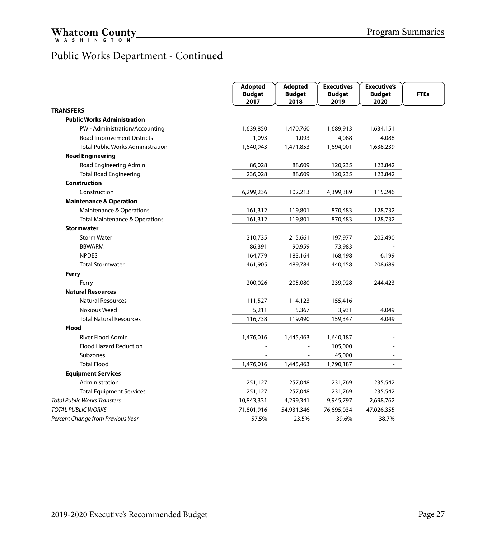#### Public Works Department - Continued

|                                           | <b>Adopted</b><br><b>Budget</b><br>2017 | <b>Adopted</b><br><b>Budget</b><br>2018 | <b>Executives</b><br><b>Budget</b><br>2019 | <b>Executive's</b><br><b>Budget</b><br>2020 | <b>FTEs</b> |
|-------------------------------------------|-----------------------------------------|-----------------------------------------|--------------------------------------------|---------------------------------------------|-------------|
| <b>TRANSFERS</b>                          |                                         |                                         |                                            |                                             |             |
| <b>Public Works Administration</b>        |                                         |                                         |                                            |                                             |             |
| PW - Administration/Accounting            | 1,639,850                               | 1,470,760                               | 1,689,913                                  | 1,634,151                                   |             |
| Road Improvement Districts                | 1,093                                   | 1,093                                   | 4,088                                      | 4,088                                       |             |
| <b>Total Public Works Administration</b>  | 1,640,943                               | 1,471,853                               | 1,694,001                                  | 1,638,239                                   |             |
| <b>Road Engineering</b>                   |                                         |                                         |                                            |                                             |             |
| Road Engineering Admin                    | 86,028                                  | 88,609                                  | 120,235                                    | 123,842                                     |             |
| <b>Total Road Engineering</b>             | 236,028                                 | 88,609                                  | 120,235                                    | 123,842                                     |             |
| <b>Construction</b>                       |                                         |                                         |                                            |                                             |             |
| Construction                              | 6,299,236                               | 102,213                                 | 4,399,389                                  | 115,246                                     |             |
| <b>Maintenance &amp; Operation</b>        |                                         |                                         |                                            |                                             |             |
| Maintenance & Operations                  | 161,312                                 | 119,801                                 | 870,483                                    | 128,732                                     |             |
| <b>Total Maintenance &amp; Operations</b> | 161,312                                 | 119,801                                 | 870,483                                    | 128,732                                     |             |
| <b>Stormwater</b>                         |                                         |                                         |                                            |                                             |             |
| <b>Storm Water</b>                        | 210,735                                 | 215,661                                 | 197,977                                    | 202,490                                     |             |
| <b>BBWARM</b>                             | 86,391                                  | 90,959                                  | 73,983                                     |                                             |             |
| <b>NPDES</b>                              | 164,779                                 | 183,164                                 | 168,498                                    | 6,199                                       |             |
| <b>Total Stormwater</b>                   | 461,905                                 | 489,784                                 | 440,458                                    | 208,689                                     |             |
| Ferry                                     |                                         |                                         |                                            |                                             |             |
| Ferry                                     | 200,026                                 | 205,080                                 | 239,928                                    | 244,423                                     |             |
| <b>Natural Resources</b>                  |                                         |                                         |                                            |                                             |             |
| <b>Natural Resources</b>                  | 111,527                                 | 114,123                                 | 155,416                                    |                                             |             |
| <b>Noxious Weed</b>                       | 5,211                                   | 5,367                                   | 3,931                                      | 4,049                                       |             |
| <b>Total Natural Resources</b>            | 116,738                                 | 119,490                                 | 159,347                                    | 4,049                                       |             |
| <b>Flood</b>                              |                                         |                                         |                                            |                                             |             |
| <b>River Flood Admin</b>                  | 1,476,016                               | 1,445,463                               | 1,640,187                                  |                                             |             |
| <b>Flood Hazard Reduction</b>             |                                         |                                         | 105,000                                    |                                             |             |
| Subzones                                  |                                         |                                         | 45,000                                     |                                             |             |
| <b>Total Flood</b>                        | 1,476,016                               | 1,445,463                               | 1,790,187                                  |                                             |             |
| <b>Equipment Services</b>                 |                                         |                                         |                                            |                                             |             |
| Administration                            | 251,127                                 | 257,048                                 | 231,769                                    | 235,542                                     |             |
| <b>Total Equipment Services</b>           | 251,127                                 | 257,048                                 | 231,769                                    | 235,542                                     |             |
| Total Public Works Transfers              | 10,843,331                              | 4,299,341                               | 9,945,797                                  | 2,698,762                                   |             |
| TOTAL PUBLIC WORKS                        | 71,801,916                              | 54,931,346                              | 76,695,034                                 | 47,026,355                                  |             |
| Percent Change from Previous Year         | 57.5%                                   | $-23.5%$                                | 39.6%                                      | $-38.7%$                                    |             |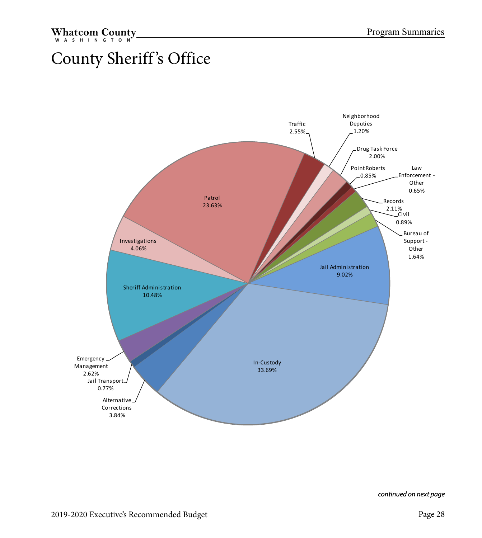## <span id="page-28-0"></span>County Sheriff 's Office

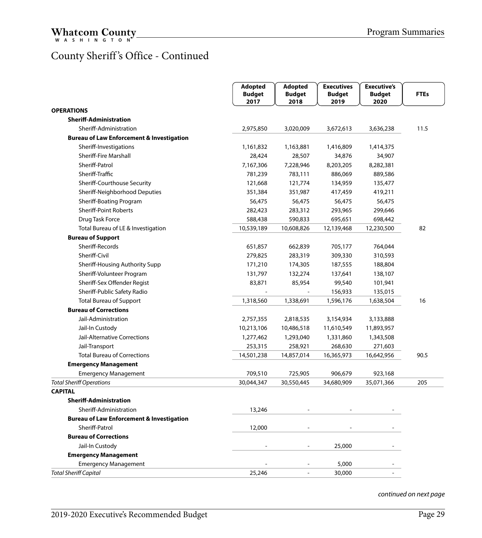#### County Sheriff 's Office - Continued

|                                                      | <b>Adopted</b><br><b>Budget</b><br>2017 | <b>Adopted</b><br><b>Budget</b><br>2018 | <b>Executives</b><br><b>Budget</b><br>2019 | <b>Executive's</b><br><b>Budget</b><br>2020 | <b>FTEs</b> |
|------------------------------------------------------|-----------------------------------------|-----------------------------------------|--------------------------------------------|---------------------------------------------|-------------|
| <b>OPERATIONS</b>                                    |                                         |                                         |                                            |                                             |             |
| <b>Sheriff-Administration</b>                        |                                         |                                         |                                            |                                             |             |
| Sheriff-Administration                               | 2,975,850                               | 3,020,009                               | 3,672,613                                  | 3,636,238                                   | 11.5        |
| <b>Bureau of Law Enforcement &amp; Investigation</b> |                                         |                                         |                                            |                                             |             |
| Sheriff-Investigations                               | 1,161,832                               | 1,163,881                               | 1,416,809                                  | 1,414,375                                   |             |
| <b>Sheriff-Fire Marshall</b>                         | 28,424                                  | 28,507                                  | 34,876                                     | 34,907                                      |             |
| Sheriff-Patrol                                       | 7,167,306                               | 7,228,946                               | 8,203,205                                  | 8,282,381                                   |             |
| Sheriff-Traffic                                      | 781,239                                 | 783,111                                 | 886,069                                    | 889,586                                     |             |
| Sheriff-Courthouse Security                          | 121,668                                 | 121,774                                 | 134,959                                    | 135,477                                     |             |
| Sheriff-Neighborhood Deputies                        | 351,384                                 | 351,987                                 | 417,459                                    | 419,211                                     |             |
| Sheriff-Boating Program                              | 56,475                                  | 56,475                                  | 56,475                                     | 56,475                                      |             |
| <b>Sheriff-Point Roberts</b>                         | 282,423                                 | 283,312                                 | 293,965                                    | 299,646                                     |             |
| Drug Task Force                                      | 588,438                                 | 590,833                                 | 695,651                                    | 698,442                                     |             |
| Total Bureau of LE & Investigation                   | 10,539,189                              | 10,608,826                              | 12,139,468                                 | 12,230,500                                  | 82          |
| <b>Bureau of Support</b>                             |                                         |                                         |                                            |                                             |             |
| Sheriff-Records                                      | 651,857                                 | 662,839                                 | 705,177                                    | 764,044                                     |             |
| Sheriff-Civil                                        | 279,825                                 | 283,319                                 | 309,330                                    | 310,593                                     |             |
| Sheriff-Housing Authority Supp                       | 171,210                                 | 174,305                                 | 187,555                                    | 188,804                                     |             |
| Sheriff-Volunteer Program                            | 131,797                                 | 132,274                                 | 137,641                                    | 138,107                                     |             |
| Sheriff-Sex Offender Regist                          | 83,871                                  | 85,954                                  | 99,540                                     | 101,941                                     |             |
| Sheriff-Public Safety Radio                          |                                         |                                         | 156,933                                    | 135,015                                     |             |
| <b>Total Bureau of Support</b>                       | 1,318,560                               | 1,338,691                               | 1,596,176                                  | 1,638,504                                   | 16          |
| <b>Bureau of Corrections</b>                         |                                         |                                         |                                            |                                             |             |
| Jail-Administration                                  | 2,757,355                               | 2,818,535                               | 3,154,934                                  | 3,133,888                                   |             |
| Jail-In Custody                                      | 10,213,106                              | 10,486,518                              | 11,610,549                                 | 11,893,957                                  |             |
| Jail-Alternative Corrections                         | 1,277,462                               | 1,293,040                               | 1,331,860                                  | 1,343,508                                   |             |
| Jail-Transport                                       | 253,315                                 | 258,921                                 | 268,630                                    | 271,603                                     |             |
| <b>Total Bureau of Corrections</b>                   | 14,501,238                              | 14,857,014                              | 16,365,973                                 | 16,642,956                                  | 90.5        |
| <b>Emergency Management</b>                          |                                         |                                         |                                            |                                             |             |
| <b>Emergency Management</b>                          | 709,510                                 | 725,905                                 | 906,679                                    | 923,168                                     |             |
| <b>Total Sheriff Operations</b>                      | 30,044,347                              | 30,550,445                              | 34,680,909                                 | 35,071,366                                  | 205         |
| <b>CAPITAL</b>                                       |                                         |                                         |                                            |                                             |             |
| <b>Sheriff-Administration</b>                        |                                         |                                         |                                            |                                             |             |
| Sheriff-Administration                               | 13,246                                  |                                         |                                            |                                             |             |
| <b>Bureau of Law Enforcement &amp; Investigation</b> |                                         |                                         |                                            |                                             |             |
| Sheriff-Patrol                                       | 12,000                                  |                                         |                                            |                                             |             |
| <b>Bureau of Corrections</b>                         |                                         |                                         |                                            |                                             |             |
| Jail-In Custody                                      |                                         |                                         | 25,000                                     |                                             |             |
| <b>Emergency Management</b>                          |                                         |                                         |                                            |                                             |             |
| <b>Emergency Management</b>                          |                                         |                                         | 5,000                                      |                                             |             |
| <b>Total Sheriff Capital</b>                         | 25,246                                  |                                         | 30,000                                     |                                             |             |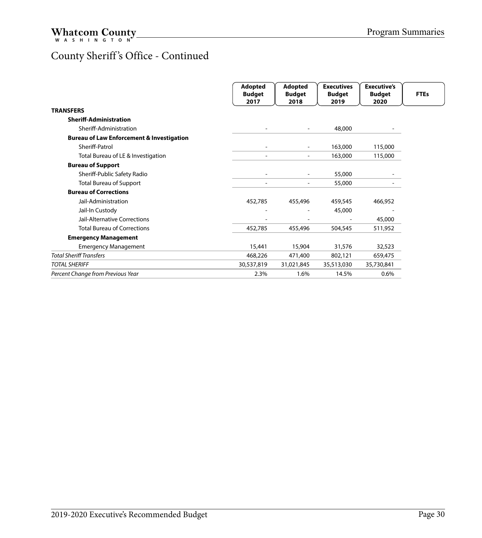#### County Sheriff 's Office - Continued

|                                                      | Adopted<br><b>Budget</b><br>2017 | <b>Adopted</b><br><b>Budget</b><br>2018 | <b>Executives</b><br><b>Budget</b><br>2019 | <b>Executive's</b><br><b>Budget</b><br>2020 | <b>FTEs</b> |
|------------------------------------------------------|----------------------------------|-----------------------------------------|--------------------------------------------|---------------------------------------------|-------------|
| <b>TRANSFERS</b>                                     |                                  |                                         |                                            |                                             |             |
| <b>Sheriff-Administration</b>                        |                                  |                                         |                                            |                                             |             |
| Sheriff-Administration                               |                                  | $\overline{\phantom{a}}$                | 48,000                                     |                                             |             |
| <b>Bureau of Law Enforcement &amp; Investigation</b> |                                  |                                         |                                            |                                             |             |
| Sheriff-Patrol                                       |                                  |                                         | 163,000                                    | 115,000                                     |             |
| Total Bureau of LE & Investigation                   |                                  | $\overline{\phantom{0}}$                | 163,000                                    | 115,000                                     |             |
| <b>Bureau of Support</b>                             |                                  |                                         |                                            |                                             |             |
| Sheriff-Public Safety Radio                          |                                  | ۰                                       | 55,000                                     |                                             |             |
| <b>Total Bureau of Support</b>                       |                                  | $\overline{\phantom{a}}$                | 55,000                                     |                                             |             |
| <b>Bureau of Corrections</b>                         |                                  |                                         |                                            |                                             |             |
| Jail-Administration                                  | 452,785                          | 455,496                                 | 459,545                                    | 466,952                                     |             |
| Jail-In Custody                                      |                                  |                                         | 45,000                                     |                                             |             |
| Jail-Alternative Corrections                         |                                  |                                         |                                            | 45,000                                      |             |
| <b>Total Bureau of Corrections</b>                   | 452,785                          | 455,496                                 | 504,545                                    | 511,952                                     |             |
| <b>Emergency Management</b>                          |                                  |                                         |                                            |                                             |             |
| <b>Emergency Management</b>                          | 15,441                           | 15,904                                  | 31,576                                     | 32,523                                      |             |
| <b>Total Sheriff Transfers</b>                       | 468,226                          | 471,400                                 | 802,121                                    | 659,475                                     |             |
| <b>TOTAL SHERIFF</b>                                 | 30,537,819                       | 31,021,845                              | 35,513,030                                 | 35,730,841                                  |             |
| Percent Change from Previous Year                    | 2.3%                             | 1.6%                                    | 14.5%                                      | 0.6%                                        |             |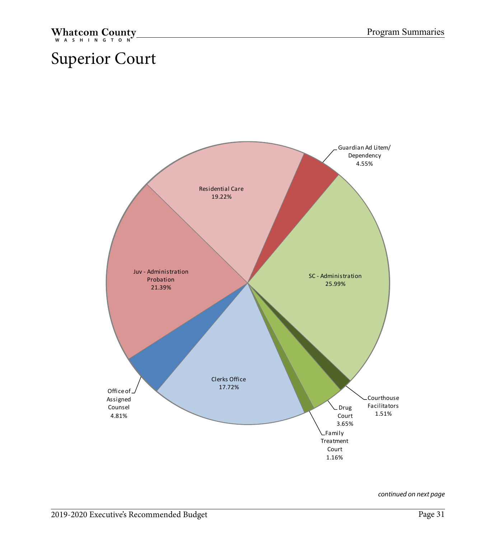## <span id="page-31-0"></span>Superior Court

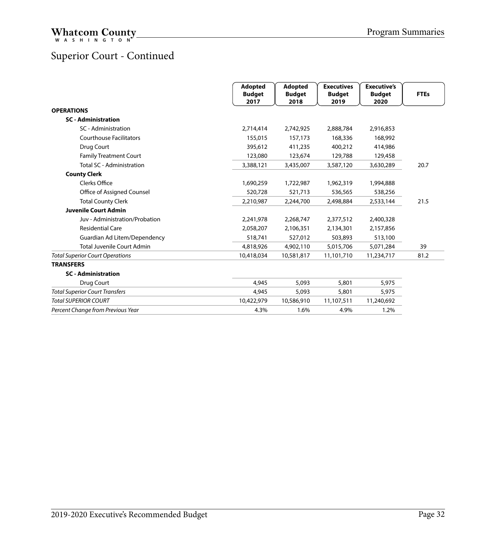#### Superior Court - Continued

|                                        | Adopted<br><b>Budget</b><br>2017 | Adopted<br><b>Budget</b><br>2018 | <b>Executives</b><br><b>Budget</b><br>2019 | <b>Executive's</b><br><b>Budget</b><br>2020 | <b>FTEs</b> |
|----------------------------------------|----------------------------------|----------------------------------|--------------------------------------------|---------------------------------------------|-------------|
| <b>OPERATIONS</b>                      |                                  |                                  |                                            |                                             |             |
| <b>SC</b> - Administration             |                                  |                                  |                                            |                                             |             |
| SC - Administration                    | 2,714,414                        | 2,742,925                        | 2,888,784                                  | 2,916,853                                   |             |
| <b>Courthouse Facilitators</b>         | 155,015                          | 157,173                          | 168,336                                    | 168,992                                     |             |
| Drug Court                             | 395.612                          | 411,235                          | 400,212                                    | 414,986                                     |             |
| <b>Family Treatment Court</b>          | 123,080                          | 123,674                          | 129,788                                    | 129,458                                     |             |
| <b>Total SC - Administration</b>       | 3,388,121                        | 3,435,007                        | 3,587,120                                  | 3,630,289                                   | 20.7        |
| <b>County Clerk</b>                    |                                  |                                  |                                            |                                             |             |
| Clerks Office                          | 1,690,259                        | 1,722,987                        | 1,962,319                                  | 1,994,888                                   |             |
| Office of Assigned Counsel             | 520,728                          | 521,713                          | 536,565                                    | 538,256                                     |             |
| <b>Total County Clerk</b>              | 2,210,987                        | 2,244,700                        | 2,498,884                                  | 2,533,144                                   | 21.5        |
| <b>Juvenile Court Admin</b>            |                                  |                                  |                                            |                                             |             |
| Juv - Administration/Probation         | 2,241,978                        | 2,268,747                        | 2,377,512                                  | 2,400,328                                   |             |
| <b>Residential Care</b>                | 2,058,207                        | 2,106,351                        | 2,134,301                                  | 2,157,856                                   |             |
| Guardian Ad Litem/Dependency           | 518,741                          | 527,012                          | 503,893                                    | 513,100                                     |             |
| <b>Total Juvenile Court Admin</b>      | 4,818,926                        | 4,902,110                        | 5,015,706                                  | 5,071,284                                   | 39          |
| <b>Total Superior Court Operations</b> | 10,418,034                       | 10,581,817                       | 11,101,710                                 | 11,234,717                                  | 81.2        |
| <b>TRANSFERS</b>                       |                                  |                                  |                                            |                                             |             |
| <b>SC</b> - Administration             |                                  |                                  |                                            |                                             |             |
| Drug Court                             | 4,945                            | 5,093                            | 5,801                                      | 5,975                                       |             |
| <b>Total Superior Court Transfers</b>  | 4,945                            | 5,093                            | 5,801                                      | 5,975                                       |             |
| <b>Total SUPERIOR COURT</b>            | 10,422,979                       | 10,586,910                       | 11,107,511                                 | 11,240,692                                  |             |
| Percent Change from Previous Year      | 4.3%                             | 1.6%                             | 4.9%                                       | 1.2%                                        |             |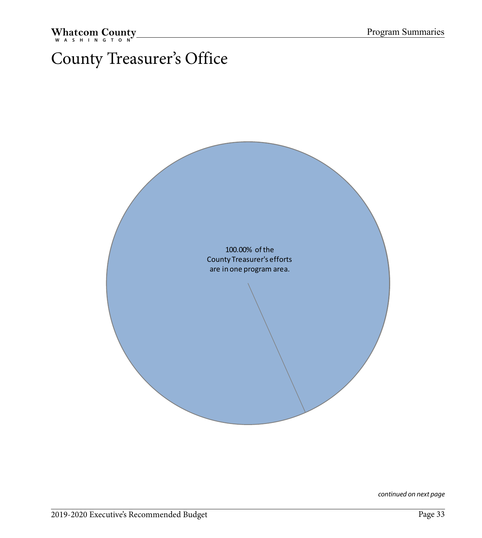## <span id="page-33-0"></span>County Treasurer's Office

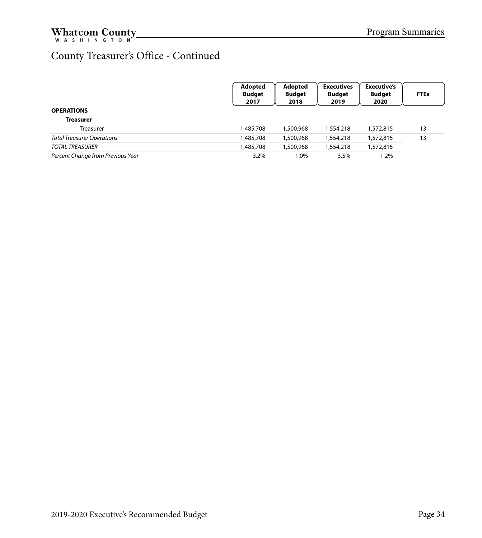#### County Treasurer's Office - Continued

|                                   | Adopted<br><b>Budget</b><br>2017 | Adopted<br><b>Budget</b><br>2018 | <b>Executives</b><br><b>Budget</b><br>2019 | <b>Executive's</b><br><b>Budget</b><br>2020 | <b>FTEs</b> |
|-----------------------------------|----------------------------------|----------------------------------|--------------------------------------------|---------------------------------------------|-------------|
| <b>OPERATIONS</b>                 |                                  |                                  |                                            |                                             |             |
| <b>Treasurer</b>                  |                                  |                                  |                                            |                                             |             |
| Treasurer                         | 1,485,708                        | 1,500,968                        | 1,554,218                                  | 1,572,815                                   | 13          |
| <b>Total Treasurer Operations</b> | 1,485,708                        | 1,500,968                        | 1,554,218                                  | 1,572,815                                   | 13          |
| <b>TOTAL TREASURER</b>            | 1,485,708                        | 1,500,968                        | 1,554,218                                  | 1,572,815                                   |             |
| Percent Change from Previous Year | 3.2%                             | 1.0%                             | 3.5%                                       | $1.2\%$                                     |             |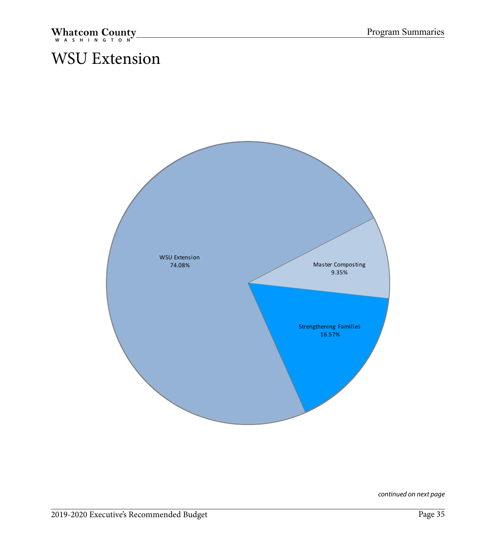## <span id="page-35-0"></span>WSU Extension